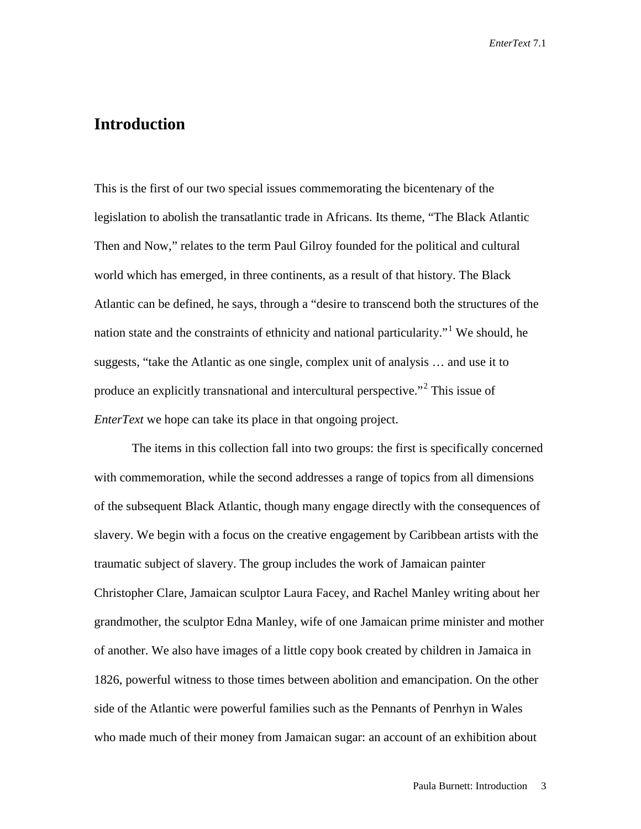## **Introduction**

This is the first of our two special issues commemorating the bicentenary of the legislation to abolish the transatlantic trade in Africans. Its theme, "The Black Atlantic Then and Now," relates to the term Paul Gilroy founded for the political and cultural world which has emerged, in three continents, as a result of that history. The Black Atlantic can be defined, he says, through a "desire to transcend both the structures of the nation state and the constraints of ethnicity and national particularity."[1](#page-17-0) We should, he suggests, "take the Atlantic as one single, complex unit of analysis … and use it to produce an explicitly transnational and intercultural perspective."<sup>[2](#page-17-1)</sup> This issue of *EnterText* we hope can take its place in that ongoing project.

The items in this collection fall into two groups: the first is specifically concerned with commemoration, while the second addresses a range of topics from all dimensions of the subsequent Black Atlantic, though many engage directly with the consequences of slavery. We begin with a focus on the creative engagement by Caribbean artists with the traumatic subject of slavery. The group includes the work of Jamaican painter Christopher Clare, Jamaican sculptor Laura Facey, and Rachel Manley writing about her grandmother, the sculptor Edna Manley, wife of one Jamaican prime minister and mother of another. We also have images of a little copy book created by children in Jamaica in 1826, powerful witness to those times between abolition and emancipation. On the other side of the Atlantic were powerful families such as the Pennants of Penrhyn in Wales who made much of their money from Jamaican sugar: an account of an exhibition about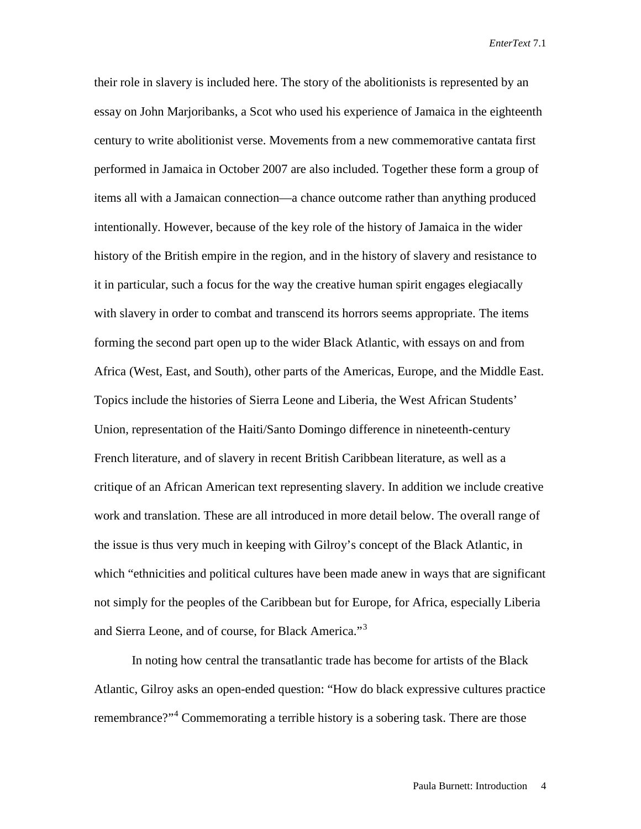their role in slavery is included here. The story of the abolitionists is represented by an essay on John Marjoribanks, a Scot who used his experience of Jamaica in the eighteenth century to write abolitionist verse. Movements from a new commemorative cantata first performed in Jamaica in October 2007 are also included. Together these form a group of items all with a Jamaican connection—a chance outcome rather than anything produced intentionally. However, because of the key role of the history of Jamaica in the wider history of the British empire in the region, and in the history of slavery and resistance to it in particular, such a focus for the way the creative human spirit engages elegiacally with slavery in order to combat and transcend its horrors seems appropriate. The items forming the second part open up to the wider Black Atlantic, with essays on and from Africa (West, East, and South), other parts of the Americas, Europe, and the Middle East. Topics include the histories of Sierra Leone and Liberia, the West African Students' Union, representation of the Haiti/Santo Domingo difference in nineteenth-century French literature, and of slavery in recent British Caribbean literature, as well as a critique of an African American text representing slavery. In addition we include creative work and translation. These are all introduced in more detail below. The overall range of the issue is thus very much in keeping with Gilroy's concept of the Black Atlantic, in which "ethnicities and political cultures have been made anew in ways that are significant not simply for the peoples of the Caribbean but for Europe, for Africa, especially Liberia and Sierra Leone, and of course, for Black America."<sup>[3](#page-17-2)</sup>

In noting how central the transatlantic trade has become for artists of the Black Atlantic, Gilroy asks an open-ended question: "How do black expressive cultures practice remembrance?"<sup>[4](#page-17-3)</sup> Commemorating a terrible history is a sobering task. There are those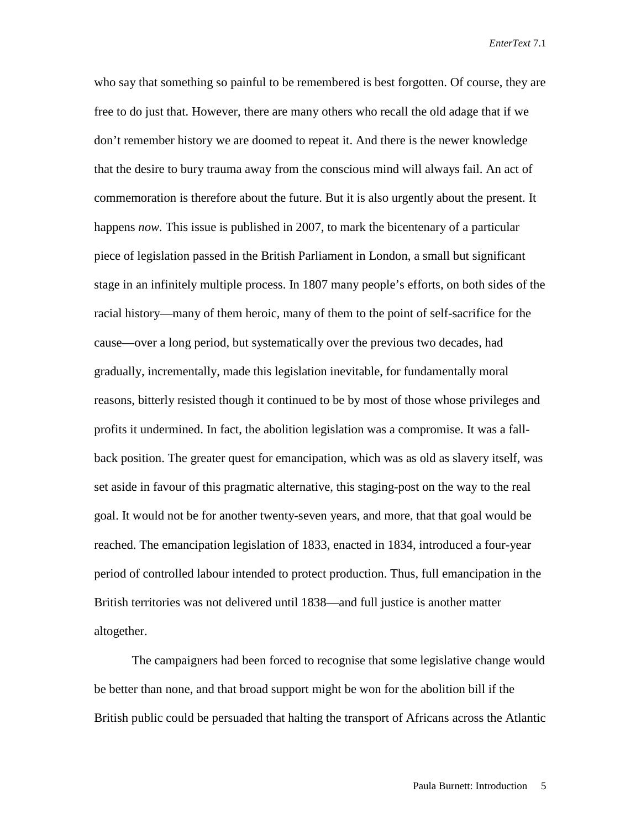who say that something so painful to be remembered is best forgotten. Of course, they are free to do just that. However, there are many others who recall the old adage that if we don't remember history we are doomed to repeat it. And there is the newer knowledge that the desire to bury trauma away from the conscious mind will always fail. An act of commemoration is therefore about the future. But it is also urgently about the present. It happens *now.* This issue is published in 2007, to mark the bicentenary of a particular piece of legislation passed in the British Parliament in London, a small but significant stage in an infinitely multiple process. In 1807 many people's efforts, on both sides of the racial history—many of them heroic, many of them to the point of self-sacrifice for the cause—over a long period, but systematically over the previous two decades, had gradually, incrementally, made this legislation inevitable, for fundamentally moral reasons, bitterly resisted though it continued to be by most of those whose privileges and profits it undermined. In fact, the abolition legislation was a compromise. It was a fallback position. The greater quest for emancipation, which was as old as slavery itself, was set aside in favour of this pragmatic alternative, this staging-post on the way to the real goal. It would not be for another twenty-seven years, and more, that that goal would be reached. The emancipation legislation of 1833, enacted in 1834, introduced a four-year period of controlled labour intended to protect production. Thus, full emancipation in the British territories was not delivered until 1838—and full justice is another matter altogether.

The campaigners had been forced to recognise that some legislative change would be better than none, and that broad support might be won for the abolition bill if the British public could be persuaded that halting the transport of Africans across the Atlantic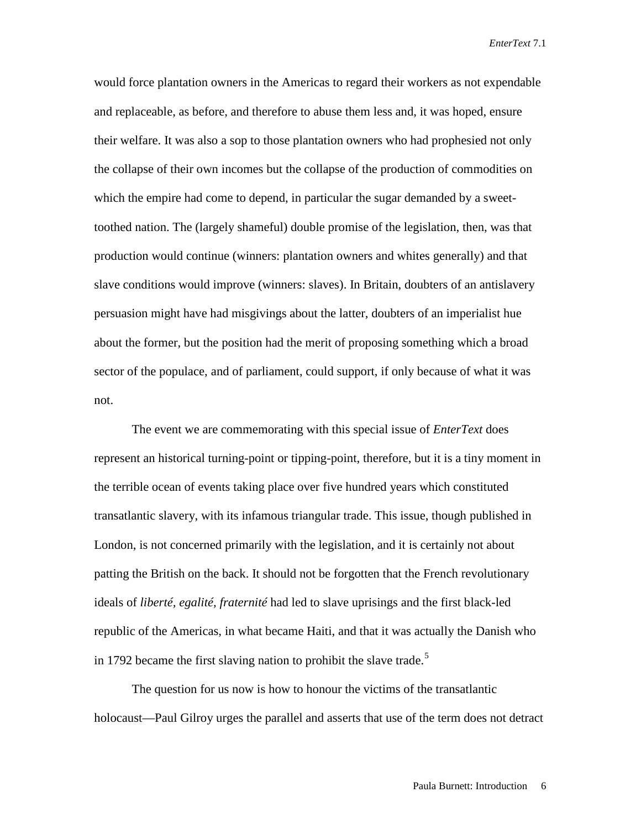would force plantation owners in the Americas to regard their workers as not expendable and replaceable, as before, and therefore to abuse them less and, it was hoped, ensure their welfare. It was also a sop to those plantation owners who had prophesied not only the collapse of their own incomes but the collapse of the production of commodities on which the empire had come to depend, in particular the sugar demanded by a sweettoothed nation. The (largely shameful) double promise of the legislation, then, was that production would continue (winners: plantation owners and whites generally) and that slave conditions would improve (winners: slaves). In Britain, doubters of an antislavery persuasion might have had misgivings about the latter, doubters of an imperialist hue about the former, but the position had the merit of proposing something which a broad sector of the populace, and of parliament, could support, if only because of what it was not.

The event we are commemorating with this special issue of *EnterText* does represent an historical turning-point or tipping-point, therefore, but it is a tiny moment in the terrible ocean of events taking place over five hundred years which constituted transatlantic slavery, with its infamous triangular trade. This issue, though published in London, is not concerned primarily with the legislation, and it is certainly not about patting the British on the back. It should not be forgotten that the French revolutionary ideals of *liberté, egalité, fraternité* had led to slave uprisings and the first black-led republic of the Americas, in what became Haiti, and that it was actually the Danish who in 1792 became the first slaving nation to prohibit the slave trade.<sup>[5](#page-17-4)</sup>

The question for us now is how to honour the victims of the transatlantic holocaust—Paul Gilroy urges the parallel and asserts that use of the term does not detract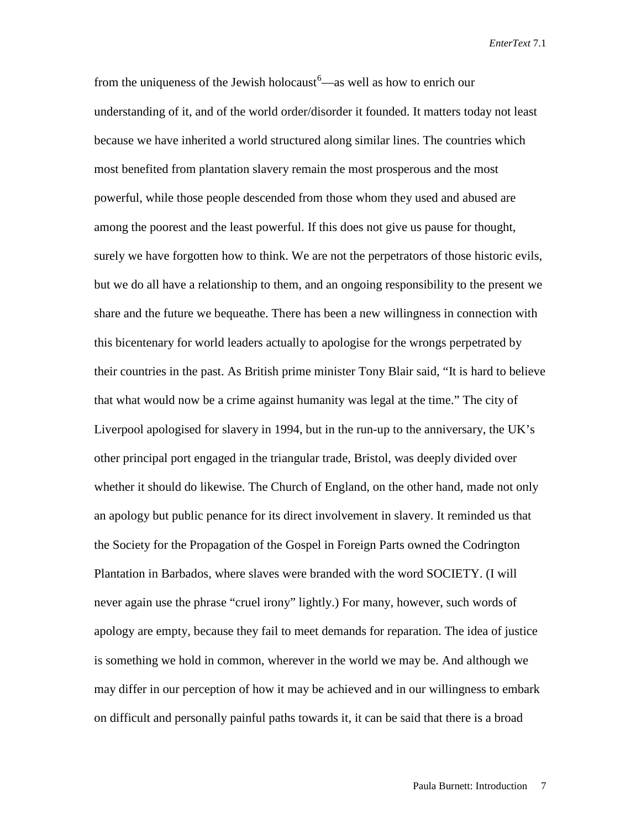from the uniqueness of the Jewish holocaust<sup>[6](#page-17-5)</sup>—as well as how to enrich our understanding of it, and of the world order/disorder it founded. It matters today not least because we have inherited a world structured along similar lines. The countries which most benefited from plantation slavery remain the most prosperous and the most powerful, while those people descended from those whom they used and abused are among the poorest and the least powerful. If this does not give us pause for thought, surely we have forgotten how to think. We are not the perpetrators of those historic evils, but we do all have a relationship to them, and an ongoing responsibility to the present we share and the future we bequeathe. There has been a new willingness in connection with this bicentenary for world leaders actually to apologise for the wrongs perpetrated by their countries in the past. As British prime minister Tony Blair said, "It is hard to believe that what would now be a crime against humanity was legal at the time." The city of Liverpool apologised for slavery in 1994, but in the run-up to the anniversary, the UK's other principal port engaged in the triangular trade, Bristol, was deeply divided over whether it should do likewise. The Church of England, on the other hand, made not only an apology but public penance for its direct involvement in slavery. It reminded us that the Society for the Propagation of the Gospel in Foreign Parts owned the Codrington Plantation in Barbados, where slaves were branded with the word SOCIETY. (I will never again use the phrase "cruel irony" lightly.) For many, however, such words of apology are empty, because they fail to meet demands for reparation. The idea of justice is something we hold in common, wherever in the world we may be. And although we may differ in our perception of how it may be achieved and in our willingness to embark on difficult and personally painful paths towards it, it can be said that there is a broad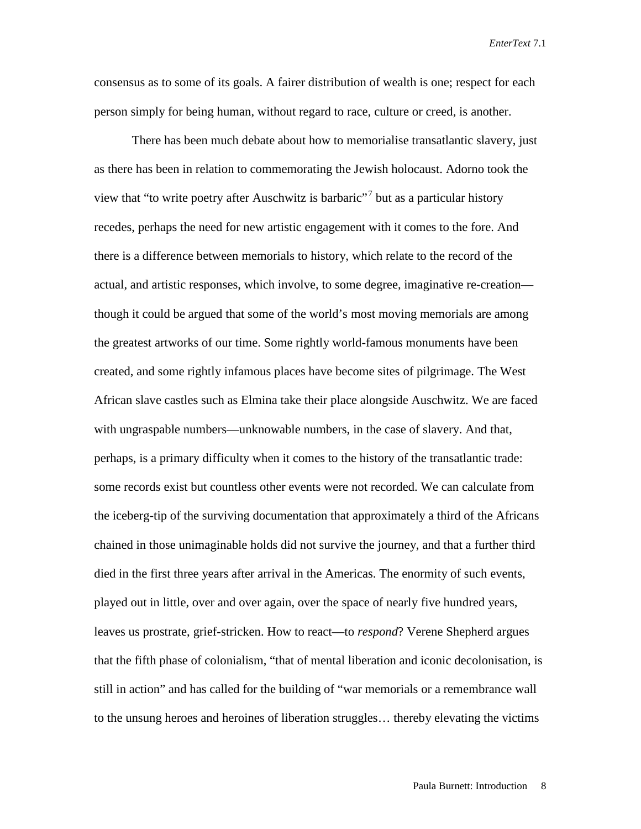consensus as to some of its goals. A fairer distribution of wealth is one; respect for each person simply for being human, without regard to race, culture or creed, is another.

There has been much debate about how to memorialise transatlantic slavery, just as there has been in relation to commemorating the Jewish holocaust. Adorno took the view that "to write poetry after Auschwitz is barbaric"<sup>[7](#page-17-6)</sup> but as a particular history recedes, perhaps the need for new artistic engagement with it comes to the fore. And there is a difference between memorials to history, which relate to the record of the actual, and artistic responses, which involve, to some degree, imaginative re-creation though it could be argued that some of the world's most moving memorials are among the greatest artworks of our time. Some rightly world-famous monuments have been created, and some rightly infamous places have become sites of pilgrimage. The West African slave castles such as Elmina take their place alongside Auschwitz. We are faced with ungraspable numbers—unknowable numbers, in the case of slavery. And that, perhaps, is a primary difficulty when it comes to the history of the transatlantic trade: some records exist but countless other events were not recorded. We can calculate from the iceberg-tip of the surviving documentation that approximately a third of the Africans chained in those unimaginable holds did not survive the journey, and that a further third died in the first three years after arrival in the Americas. The enormity of such events, played out in little, over and over again, over the space of nearly five hundred years, leaves us prostrate, grief-stricken. How to react—to *respond*? Verene Shepherd argues that the fifth phase of colonialism, "that of mental liberation and iconic decolonisation, is still in action" and has called for the building of "war memorials or a remembrance wall to the unsung heroes and heroines of liberation struggles… thereby elevating the victims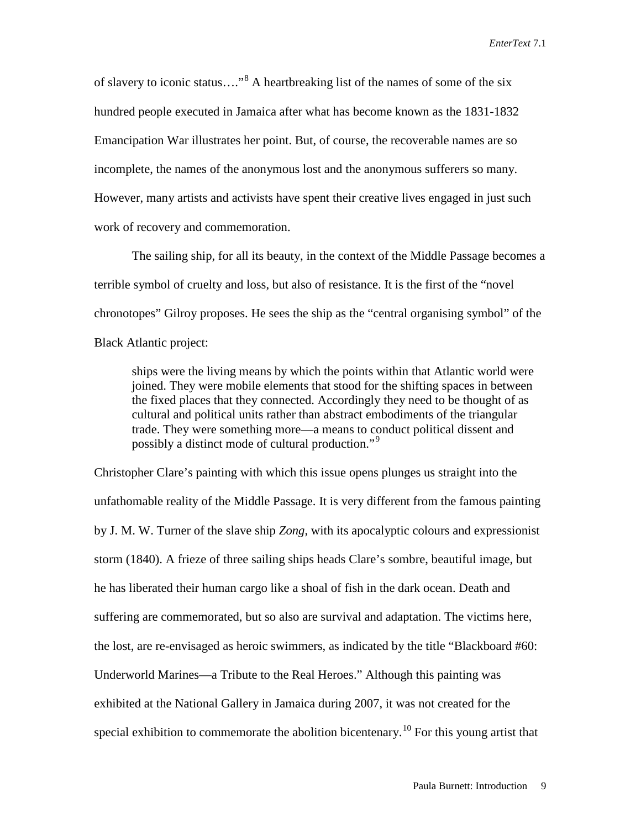of slavery to iconic status...."<sup>[8](#page-17-7)</sup> A heartbreaking list of the names of some of the six hundred people executed in Jamaica after what has become known as the 1831-1832 Emancipation War illustrates her point. But, of course, the recoverable names are so incomplete, the names of the anonymous lost and the anonymous sufferers so many. However, many artists and activists have spent their creative lives engaged in just such work of recovery and commemoration.

The sailing ship, for all its beauty, in the context of the Middle Passage becomes a terrible symbol of cruelty and loss, but also of resistance. It is the first of the "novel chronotopes" Gilroy proposes. He sees the ship as the "central organising symbol" of the Black Atlantic project:

ships were the living means by which the points within that Atlantic world were joined. They were mobile elements that stood for the shifting spaces in between the fixed places that they connected. Accordingly they need to be thought of as cultural and political units rather than abstract embodiments of the triangular trade. They were something more—a means to conduct political dissent and possibly a distinct mode of cultural production."<sup>[9](#page-17-8)</sup>

Christopher Clare's painting with which this issue opens plunges us straight into the unfathomable reality of the Middle Passage. It is very different from the famous painting by J. M. W. Turner of the slave ship *Zong*, with its apocalyptic colours and expressionist storm (1840). A frieze of three sailing ships heads Clare's sombre, beautiful image, but he has liberated their human cargo like a shoal of fish in the dark ocean. Death and suffering are commemorated, but so also are survival and adaptation. The victims here, the lost, are re-envisaged as heroic swimmers, as indicated by the title "Blackboard #60: Underworld Marines—a Tribute to the Real Heroes." Although this painting was exhibited at the National Gallery in Jamaica during 2007, it was not created for the special exhibition to commemorate the abolition bicentenary.<sup>[10](#page-17-9)</sup> For this young artist that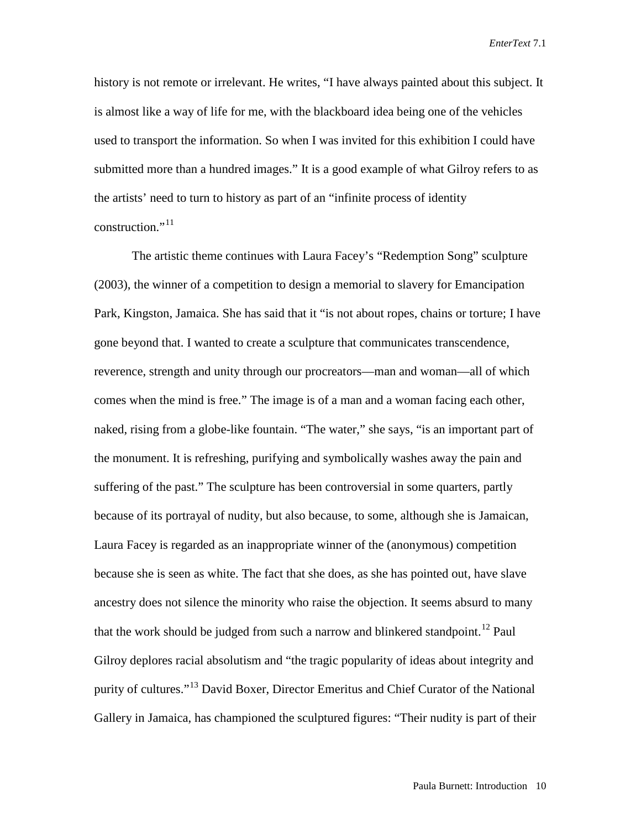history is not remote or irrelevant. He writes, "I have always painted about this subject. It is almost like a way of life for me, with the blackboard idea being one of the vehicles used to transport the information. So when I was invited for this exhibition I could have submitted more than a hundred images." It is a good example of what Gilroy refers to as the artists' need to turn to history as part of an "infinite process of identity construction." $^{11}$  $^{11}$  $^{11}$ 

The artistic theme continues with Laura Facey's "Redemption Song" sculpture (2003), the winner of a competition to design a memorial to slavery for Emancipation Park, Kingston, Jamaica. She has said that it "is not about ropes, chains or torture; I have gone beyond that. I wanted to create a sculpture that communicates transcendence, reverence, strength and unity through our procreators—man and woman—all of which comes when the mind is free." The image is of a man and a woman facing each other, naked, rising from a globe-like fountain. "The water," she says, "is an important part of the monument. It is refreshing, purifying and symbolically washes away the pain and suffering of the past." The sculpture has been controversial in some quarters, partly because of its portrayal of nudity, but also because, to some, although she is Jamaican, Laura Facey is regarded as an inappropriate winner of the (anonymous) competition because she is seen as white. The fact that she does, as she has pointed out, have slave ancestry does not silence the minority who raise the objection. It seems absurd to many that the work should be judged from such a narrow and blinkered standpoint.<sup>[12](#page-17-11)</sup> Paul Gilroy deplores racial absolutism and "the tragic popularity of ideas about integrity and purity of cultures."[13](#page-17-12) David Boxer, Director Emeritus and Chief Curator of the National Gallery in Jamaica, has championed the sculptured figures: "Their nudity is part of their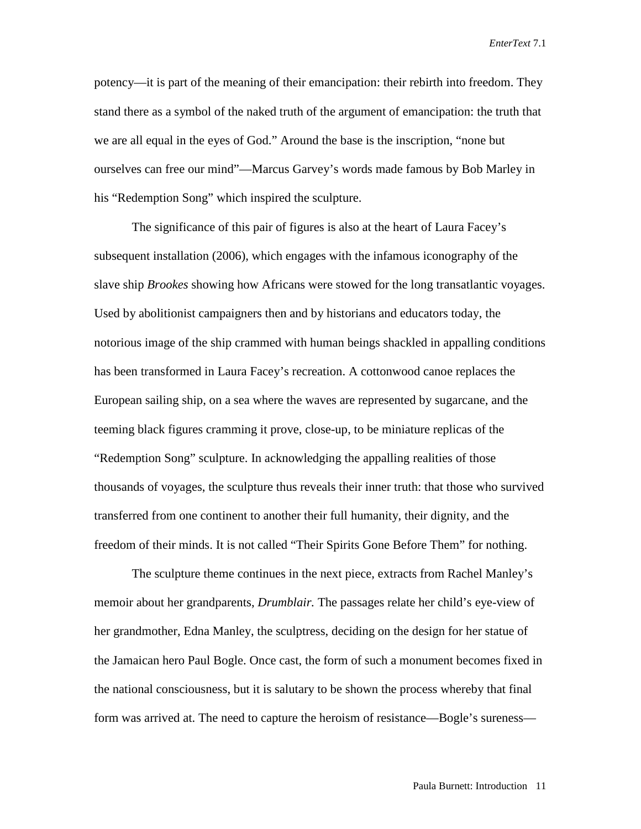potency—it is part of the meaning of their emancipation: their rebirth into freedom. They stand there as a symbol of the naked truth of the argument of emancipation: the truth that we are all equal in the eyes of God." Around the base is the inscription, "none but ourselves can free our mind"—Marcus Garvey's words made famous by Bob Marley in his "Redemption Song" which inspired the sculpture.

The significance of this pair of figures is also at the heart of Laura Facey's subsequent installation (2006), which engages with the infamous iconography of the slave ship *Brookes* showing how Africans were stowed for the long transatlantic voyages. Used by abolitionist campaigners then and by historians and educators today, the notorious image of the ship crammed with human beings shackled in appalling conditions has been transformed in Laura Facey's recreation. A cottonwood canoe replaces the European sailing ship, on a sea where the waves are represented by sugarcane, and the teeming black figures cramming it prove, close-up, to be miniature replicas of the "Redemption Song" sculpture. In acknowledging the appalling realities of those thousands of voyages, the sculpture thus reveals their inner truth: that those who survived transferred from one continent to another their full humanity, their dignity, and the freedom of their minds. It is not called "Their Spirits Gone Before Them" for nothing.

The sculpture theme continues in the next piece, extracts from Rachel Manley's memoir about her grandparents, *Drumblair.* The passages relate her child's eye-view of her grandmother, Edna Manley, the sculptress, deciding on the design for her statue of the Jamaican hero Paul Bogle. Once cast, the form of such a monument becomes fixed in the national consciousness, but it is salutary to be shown the process whereby that final form was arrived at. The need to capture the heroism of resistance—Bogle's sureness—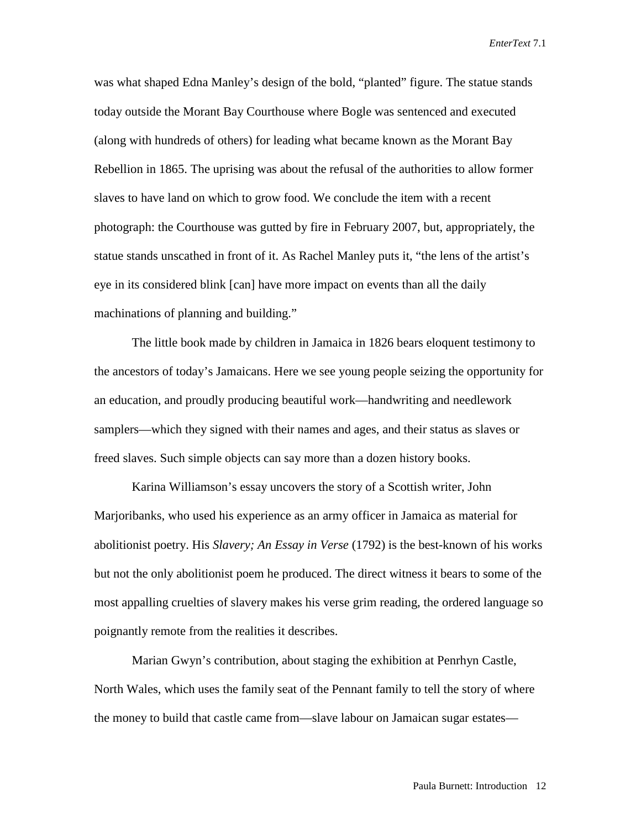was what shaped Edna Manley's design of the bold, "planted" figure. The statue stands today outside the Morant Bay Courthouse where Bogle was sentenced and executed (along with hundreds of others) for leading what became known as the Morant Bay Rebellion in 1865. The uprising was about the refusal of the authorities to allow former slaves to have land on which to grow food. We conclude the item with a recent photograph: the Courthouse was gutted by fire in February 2007, but, appropriately, the statue stands unscathed in front of it. As Rachel Manley puts it, "the lens of the artist's eye in its considered blink [can] have more impact on events than all the daily machinations of planning and building."

The little book made by children in Jamaica in 1826 bears eloquent testimony to the ancestors of today's Jamaicans. Here we see young people seizing the opportunity for an education, and proudly producing beautiful work—handwriting and needlework samplers—which they signed with their names and ages, and their status as slaves or freed slaves. Such simple objects can say more than a dozen history books.

Karina Williamson's essay uncovers the story of a Scottish writer, John Marjoribanks, who used his experience as an army officer in Jamaica as material for abolitionist poetry. His *Slavery; An Essay in Verse* (1792) is the best-known of his works but not the only abolitionist poem he produced. The direct witness it bears to some of the most appalling cruelties of slavery makes his verse grim reading, the ordered language so poignantly remote from the realities it describes.

Marian Gwyn's contribution, about staging the exhibition at Penrhyn Castle, North Wales, which uses the family seat of the Pennant family to tell the story of where the money to build that castle came from—slave labour on Jamaican sugar estates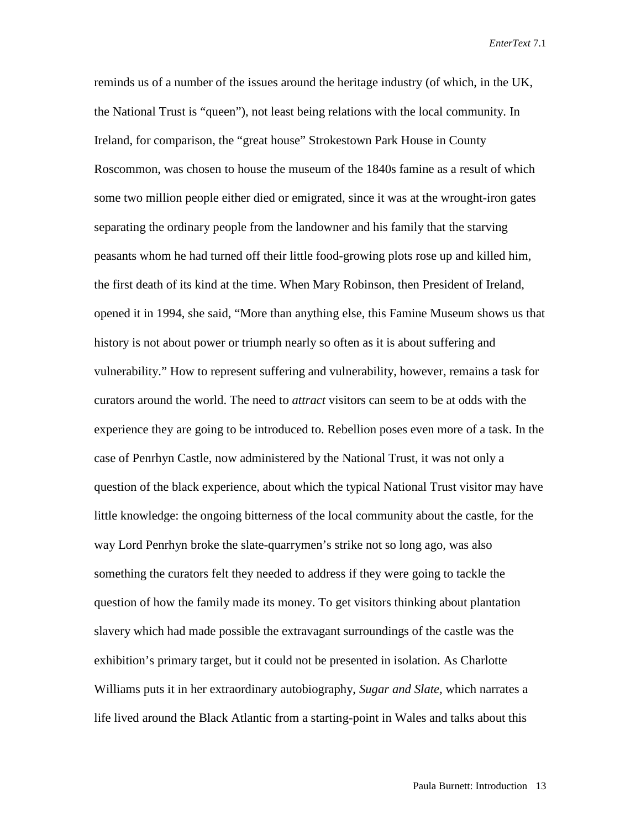reminds us of a number of the issues around the heritage industry (of which, in the UK, the National Trust is "queen"), not least being relations with the local community. In Ireland, for comparison, the "great house" Strokestown Park House in County Roscommon, was chosen to house the museum of the 1840s famine as a result of which some two million people either died or emigrated, since it was at the wrought-iron gates separating the ordinary people from the landowner and his family that the starving peasants whom he had turned off their little food-growing plots rose up and killed him, the first death of its kind at the time. When Mary Robinson, then President of Ireland, opened it in 1994, she said, "More than anything else, this Famine Museum shows us that history is not about power or triumph nearly so often as it is about suffering and vulnerability." How to represent suffering and vulnerability, however, remains a task for curators around the world. The need to *attract* visitors can seem to be at odds with the experience they are going to be introduced to. Rebellion poses even more of a task. In the case of Penrhyn Castle, now administered by the National Trust, it was not only a question of the black experience, about which the typical National Trust visitor may have little knowledge: the ongoing bitterness of the local community about the castle, for the way Lord Penrhyn broke the slate-quarrymen's strike not so long ago, was also something the curators felt they needed to address if they were going to tackle the question of how the family made its money. To get visitors thinking about plantation slavery which had made possible the extravagant surroundings of the castle was the exhibition's primary target, but it could not be presented in isolation. As Charlotte Williams puts it in her extraordinary autobiography, *Sugar and Slate,* which narrates a life lived around the Black Atlantic from a starting-point in Wales and talks about this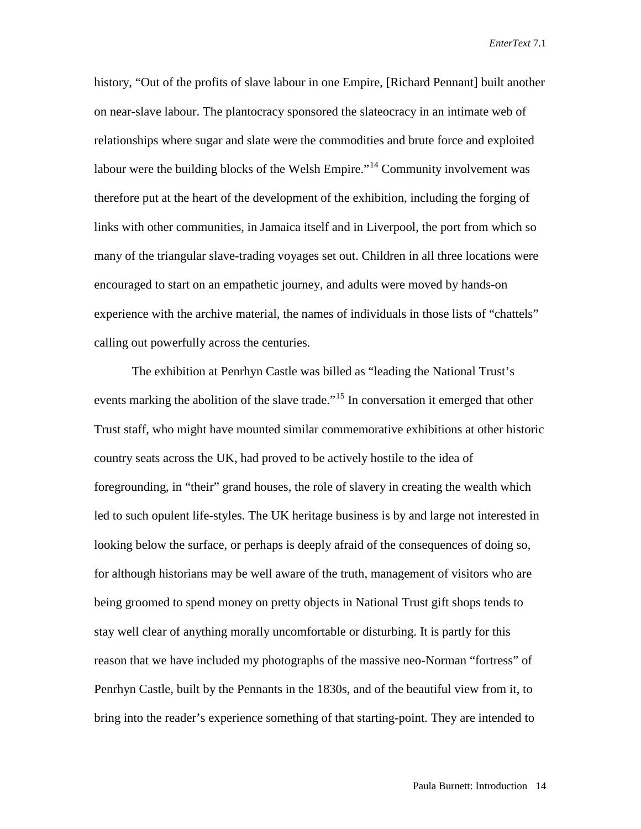history, "Out of the profits of slave labour in one Empire, [Richard Pennant] built another on near-slave labour. The plantocracy sponsored the slateocracy in an intimate web of relationships where sugar and slate were the commodities and brute force and exploited labour were the building blocks of the Welsh Empire."<sup>[14](#page-17-13)</sup> Community involvement was therefore put at the heart of the development of the exhibition, including the forging of links with other communities, in Jamaica itself and in Liverpool, the port from which so many of the triangular slave-trading voyages set out. Children in all three locations were encouraged to start on an empathetic journey, and adults were moved by hands-on experience with the archive material, the names of individuals in those lists of "chattels" calling out powerfully across the centuries.

The exhibition at Penrhyn Castle was billed as "leading the National Trust's events marking the abolition of the slave trade."<sup>[15](#page-17-14)</sup> In conversation it emerged that other Trust staff, who might have mounted similar commemorative exhibitions at other historic country seats across the UK, had proved to be actively hostile to the idea of foregrounding, in "their" grand houses, the role of slavery in creating the wealth which led to such opulent life-styles. The UK heritage business is by and large not interested in looking below the surface, or perhaps is deeply afraid of the consequences of doing so, for although historians may be well aware of the truth, management of visitors who are being groomed to spend money on pretty objects in National Trust gift shops tends to stay well clear of anything morally uncomfortable or disturbing. It is partly for this reason that we have included my photographs of the massive neo-Norman "fortress" of Penrhyn Castle, built by the Pennants in the 1830s, and of the beautiful view from it, to bring into the reader's experience something of that starting-point. They are intended to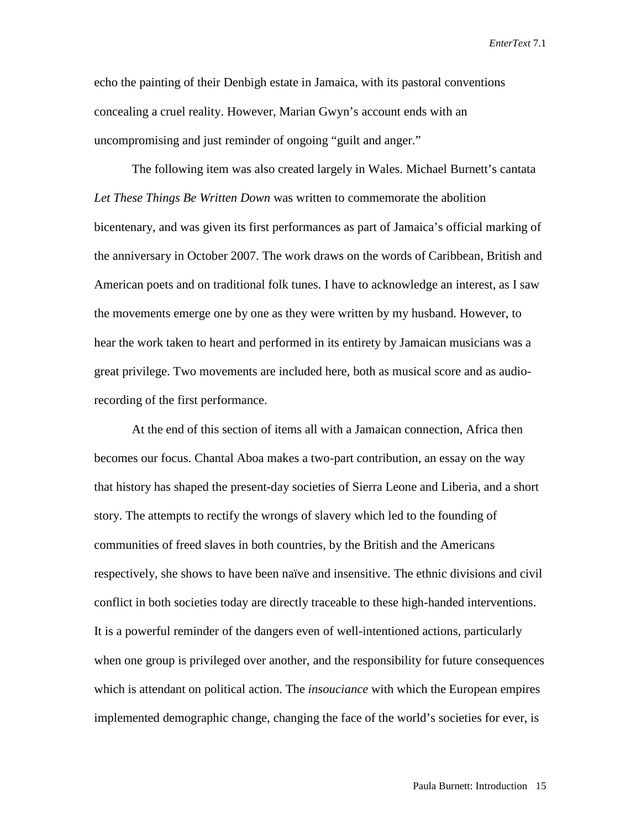echo the painting of their Denbigh estate in Jamaica, with its pastoral conventions concealing a cruel reality. However, Marian Gwyn's account ends with an uncompromising and just reminder of ongoing "guilt and anger."

The following item was also created largely in Wales. Michael Burnett's cantata *Let These Things Be Written Down* was written to commemorate the abolition bicentenary, and was given its first performances as part of Jamaica's official marking of the anniversary in October 2007. The work draws on the words of Caribbean, British and American poets and on traditional folk tunes. I have to acknowledge an interest, as I saw the movements emerge one by one as they were written by my husband. However, to hear the work taken to heart and performed in its entirety by Jamaican musicians was a great privilege. Two movements are included here, both as musical score and as audiorecording of the first performance.

At the end of this section of items all with a Jamaican connection, Africa then becomes our focus. Chantal Aboa makes a two-part contribution, an essay on the way that history has shaped the present-day societies of Sierra Leone and Liberia, and a short story. The attempts to rectify the wrongs of slavery which led to the founding of communities of freed slaves in both countries, by the British and the Americans respectively, she shows to have been naïve and insensitive. The ethnic divisions and civil conflict in both societies today are directly traceable to these high-handed interventions. It is a powerful reminder of the dangers even of well-intentioned actions, particularly when one group is privileged over another, and the responsibility for future consequences which is attendant on political action. The *insouciance* with which the European empires implemented demographic change, changing the face of the world's societies for ever, is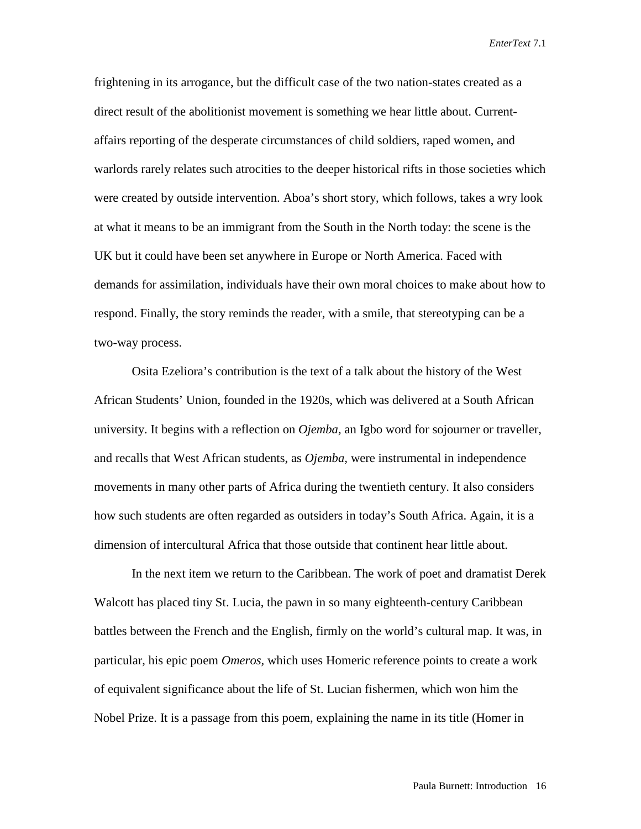frightening in its arrogance, but the difficult case of the two nation-states created as a direct result of the abolitionist movement is something we hear little about. Currentaffairs reporting of the desperate circumstances of child soldiers, raped women, and warlords rarely relates such atrocities to the deeper historical rifts in those societies which were created by outside intervention. Aboa's short story, which follows, takes a wry look at what it means to be an immigrant from the South in the North today: the scene is the UK but it could have been set anywhere in Europe or North America. Faced with demands for assimilation, individuals have their own moral choices to make about how to respond. Finally, the story reminds the reader, with a smile, that stereotyping can be a two-way process.

Osita Ezeliora's contribution is the text of a talk about the history of the West African Students' Union, founded in the 1920s, which was delivered at a South African university. It begins with a reflection on *Ojemba,* an Igbo word for sojourner or traveller, and recalls that West African students, as *Ojemba,* were instrumental in independence movements in many other parts of Africa during the twentieth century. It also considers how such students are often regarded as outsiders in today's South Africa. Again, it is a dimension of intercultural Africa that those outside that continent hear little about.

In the next item we return to the Caribbean. The work of poet and dramatist Derek Walcott has placed tiny St. Lucia, the pawn in so many eighteenth-century Caribbean battles between the French and the English, firmly on the world's cultural map. It was, in particular, his epic poem *Omeros,* which uses Homeric reference points to create a work of equivalent significance about the life of St. Lucian fishermen, which won him the Nobel Prize. It is a passage from this poem, explaining the name in its title (Homer in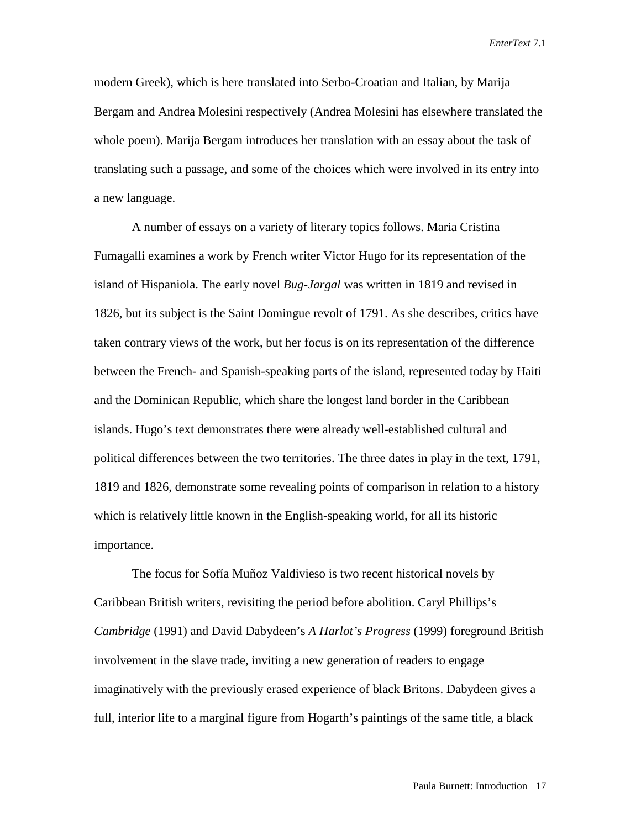modern Greek), which is here translated into Serbo-Croatian and Italian, by Marija Bergam and Andrea Molesini respectively (Andrea Molesini has elsewhere translated the whole poem). Marija Bergam introduces her translation with an essay about the task of translating such a passage, and some of the choices which were involved in its entry into a new language.

A number of essays on a variety of literary topics follows. Maria Cristina Fumagalli examines a work by French writer Victor Hugo for its representation of the island of Hispaniola. The early novel *Bug-Jargal* was written in 1819 and revised in 1826, but its subject is the Saint Domingue revolt of 1791. As she describes, critics have taken contrary views of the work, but her focus is on its representation of the difference between the French- and Spanish-speaking parts of the island, represented today by Haiti and the Dominican Republic, which share the longest land border in the Caribbean islands. Hugo's text demonstrates there were already well-established cultural and political differences between the two territories. The three dates in play in the text, 1791, 1819 and 1826, demonstrate some revealing points of comparison in relation to a history which is relatively little known in the English-speaking world, for all its historic importance.

The focus for Sofía Muñoz Valdivieso is two recent historical novels by Caribbean British writers, revisiting the period before abolition. Caryl Phillips's *Cambridge* (1991) and David Dabydeen's *A Harlot's Progress* (1999) foreground British involvement in the slave trade, inviting a new generation of readers to engage imaginatively with the previously erased experience of black Britons. Dabydeen gives a full, interior life to a marginal figure from Hogarth's paintings of the same title, a black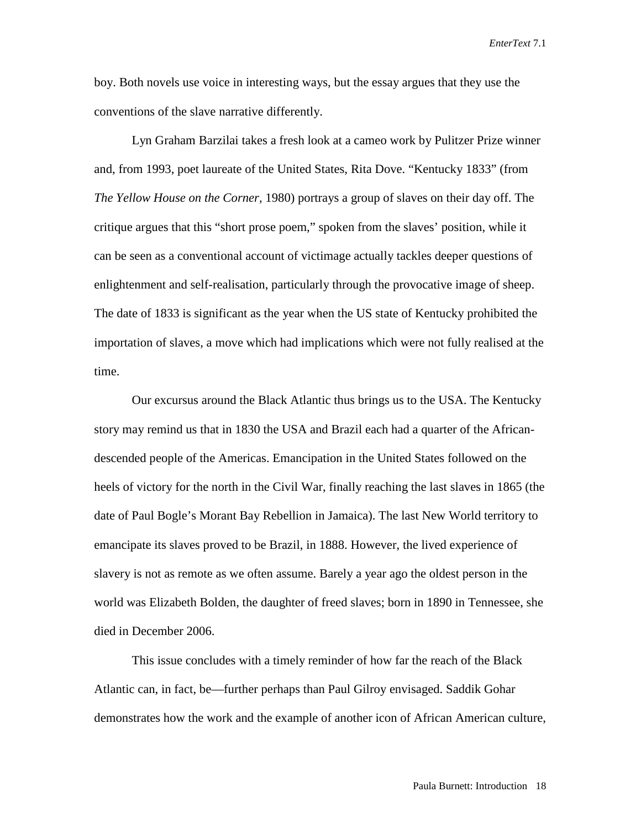boy. Both novels use voice in interesting ways, but the essay argues that they use the conventions of the slave narrative differently.

Lyn Graham Barzilai takes a fresh look at a cameo work by Pulitzer Prize winner and, from 1993, poet laureate of the United States, Rita Dove. "Kentucky 1833" (from *The Yellow House on the Corner,* 1980) portrays a group of slaves on their day off. The critique argues that this "short prose poem," spoken from the slaves' position, while it can be seen as a conventional account of victimage actually tackles deeper questions of enlightenment and self-realisation, particularly through the provocative image of sheep. The date of 1833 is significant as the year when the US state of Kentucky prohibited the importation of slaves, a move which had implications which were not fully realised at the time.

Our excursus around the Black Atlantic thus brings us to the USA. The Kentucky story may remind us that in 1830 the USA and Brazil each had a quarter of the Africandescended people of the Americas. Emancipation in the United States followed on the heels of victory for the north in the Civil War, finally reaching the last slaves in 1865 (the date of Paul Bogle's Morant Bay Rebellion in Jamaica). The last New World territory to emancipate its slaves proved to be Brazil, in 1888. However, the lived experience of slavery is not as remote as we often assume. Barely a year ago the oldest person in the world was Elizabeth Bolden, the daughter of freed slaves; born in 1890 in Tennessee, she died in December 2006.

This issue concludes with a timely reminder of how far the reach of the Black Atlantic can, in fact, be—further perhaps than Paul Gilroy envisaged. Saddik Gohar demonstrates how the work and the example of another icon of African American culture,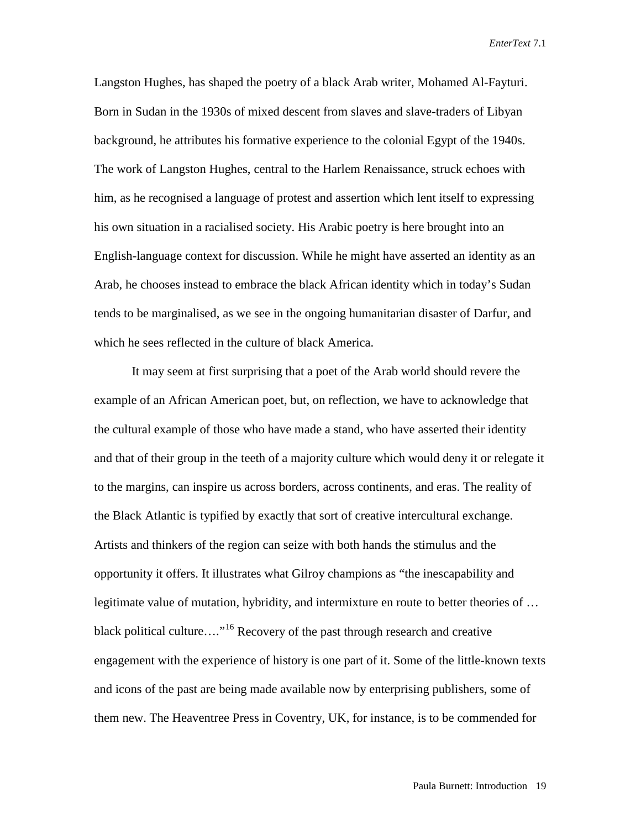Langston Hughes, has shaped the poetry of a black Arab writer, Mohamed Al-Fayturi. Born in Sudan in the 1930s of mixed descent from slaves and slave-traders of Libyan background, he attributes his formative experience to the colonial Egypt of the 1940s. The work of Langston Hughes, central to the Harlem Renaissance, struck echoes with him, as he recognised a language of protest and assertion which lent itself to expressing his own situation in a racialised society. His Arabic poetry is here brought into an English-language context for discussion. While he might have asserted an identity as an Arab, he chooses instead to embrace the black African identity which in today's Sudan tends to be marginalised, as we see in the ongoing humanitarian disaster of Darfur, and which he sees reflected in the culture of black America.

It may seem at first surprising that a poet of the Arab world should revere the example of an African American poet, but, on reflection, we have to acknowledge that the cultural example of those who have made a stand, who have asserted their identity and that of their group in the teeth of a majority culture which would deny it or relegate it to the margins, can inspire us across borders, across continents, and eras. The reality of the Black Atlantic is typified by exactly that sort of creative intercultural exchange. Artists and thinkers of the region can seize with both hands the stimulus and the opportunity it offers. It illustrates what Gilroy champions as "the inescapability and legitimate value of mutation, hybridity, and intermixture en route to better theories of … black political culture…."[16](#page-17-15) Recovery of the past through research and creative engagement with the experience of history is one part of it. Some of the little-known texts and icons of the past are being made available now by enterprising publishers, some of them new. The Heaventree Press in Coventry, UK, for instance, is to be commended for